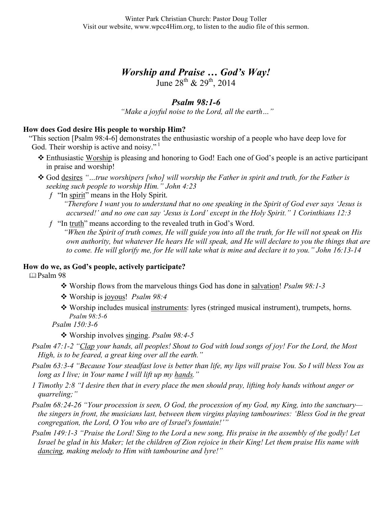# *Worship and Praise … God's Way!*

June  $28^{th}$  &  $29^{th}$ ,  $2014$ 

# *Psalm 98:1-6*

*"Make a joyful noise to the Lord, all the earth…"*

## **How does God desire His people to worship Him?**

"This section [Psalm 98:4-6] demonstrates the enthusiastic worship of a people who have deep love for God. Their worship is active and noisy."

- Enthusiastic Worship is pleasing and honoring to God! Each one of God's people is an active participant in praise and worship!
- God desires *"…true worshipers [who] will worship the Father in spirit and truth, for the Father is seeking such people to worship Him." John 4:23*
	- $f$  "In spirit" means in the Holy Spirit. *"Therefore I want you to understand that no one speaking in the Spirit of God ever says 'Jesus is accursed!' and no one can say 'Jesus is Lord' except in the Holy Spirit." 1 Corinthians 12:3*
	- ƒ "In truth" means according to the revealed truth in God's Word.

*"When the Spirit of truth comes, He will guide you into all the truth, for He will not speak on His own authority, but whatever He hears He will speak, and He will declare to you the things that are to come. He will glorify me, for He will take what is mine and declare it to you." John 16:13-14*

#### **How do we, as God's people, actively participate?**

Psalm 98

- Worship flows from the marvelous things God has done in salvation! *Psalm 98:1-3*
- Worship is joyous! *Psalm 98:4*
- Worship includes musical instruments: lyres (stringed musical instrument), trumpets, horns. *Psalm 98:5-6*
- *Psalm 150:3-6*

Worship involves singing. *Psalm 98:4-5*

- *Psalm 47:1-2 "Clap your hands, all peoples! Shout to God with loud songs of joy! For the Lord, the Most High, is to be feared, a great king over all the earth."*
- *Psalm 63:3-4 "Because Your steadfast love is better than life, my lips will praise You. So I will bless You as long as I live; in Your name I will lift up my hands."*
- *1 Timothy 2:8 "I desire then that in every place the men should pray, lifting holy hands without anger or quarreling;"*
- *Psalm 68:24-26 "Your procession is seen, O God, the procession of my God, my King, into the sanctuary the singers in front, the musicians last, between them virgins playing tambourines: 'Bless God in the great congregation, the Lord, O You who are of Israel's fountain!'"*
- *Psalm 149:1-3 "Praise the Lord! Sing to the Lord a new song, His praise in the assembly of the godly! Let Israel be glad in his Maker; let the children of Zion rejoice in their King! Let them praise His name with dancing, making melody to Him with tambourine and lyre!"*